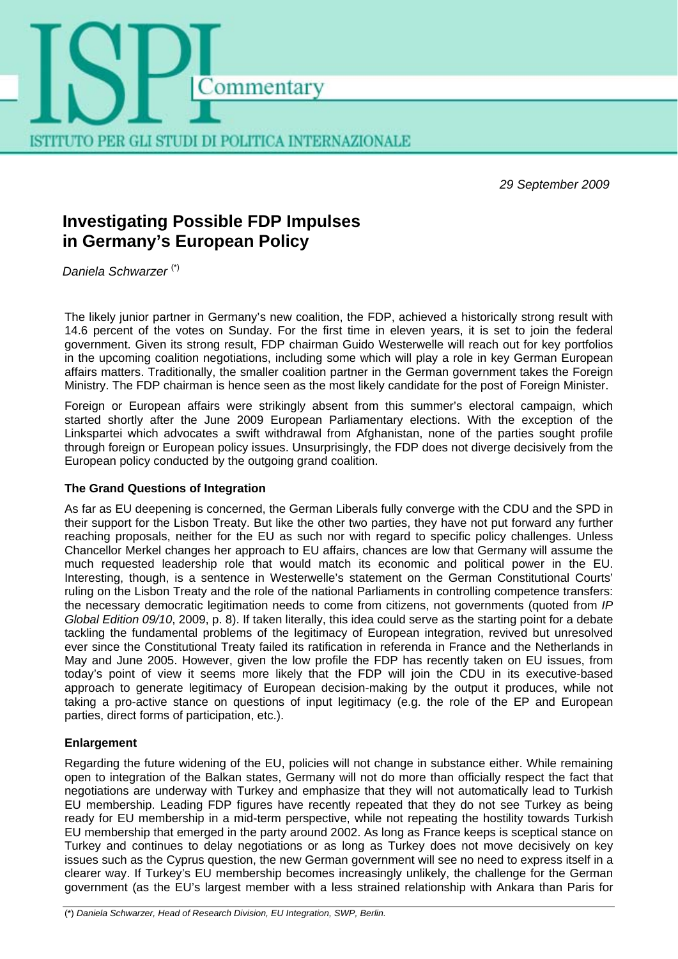

*29 September 2009*

# **Investigating Possible FDP Impulses in Germany's European Policy**

*Daniela Schwarzer* (\*)

The likely junior partner in Germany's new coalition, the FDP, achieved a historically strong result with 14.6 percent of the votes on Sunday. For the first time in eleven years, it is set to join the federal government. Given its strong result, FDP chairman Guido Westerwelle will reach out for key portfolios in the upcoming coalition negotiations, including some which will play a role in key German European affairs matters. Traditionally, the smaller coalition partner in the German government takes the Foreign Ministry. The FDP chairman is hence seen as the most likely candidate for the post of Foreign Minister.

Foreign or European affairs were strikingly absent from this summer's electoral campaign, which started shortly after the June 2009 European Parliamentary elections. With the exception of the Linkspartei which advocates a swift withdrawal from Afghanistan, none of the parties sought profile through foreign or European policy issues. Unsurprisingly, the FDP does not diverge decisively from the European policy conducted by the outgoing grand coalition.

## **The Grand Questions of Integration**

As far as EU deepening is concerned, the German Liberals fully converge with the CDU and the SPD in their support for the Lisbon Treaty. But like the other two parties, they have not put forward any further reaching proposals, neither for the EU as such nor with regard to specific policy challenges. Unless Chancellor Merkel changes her approach to EU affairs, chances are low that Germany will assume the much requested leadership role that would match its economic and political power in the EU. Interesting, though, is a sentence in Westerwelle's statement on the German Constitutional Courts' ruling on the Lisbon Treaty and the role of the national Parliaments in controlling competence transfers: the necessary democratic legitimation needs to come from citizens, not governments (quoted from *IP Global Edition 09/10*, 2009, p. 8). If taken literally, this idea could serve as the starting point for a debate tackling the fundamental problems of the legitimacy of European integration, revived but unresolved ever since the Constitutional Treaty failed its ratification in referenda in France and the Netherlands in May and June 2005. However, given the low profile the FDP has recently taken on EU issues, from today's point of view it seems more likely that the FDP will join the CDU in its executive-based approach to generate legitimacy of European decision-making by the output it produces, while not taking a pro-active stance on questions of input legitimacy (e.g. the role of the EP and European parties, direct forms of participation, etc.).

## **Enlargement**

Regarding the future widening of the EU, policies will not change in substance either. While remaining open to integration of the Balkan states, Germany will not do more than officially respect the fact that negotiations are underway with Turkey and emphasize that they will not automatically lead to Turkish EU membership. Leading FDP figures have recently repeated that they do not see Turkey as being ready for EU membership in a mid-term perspective, while not repeating the hostility towards Turkish EU membership that emerged in the party around 2002. As long as France keeps is sceptical stance on Turkey and continues to delay negotiations or as long as Turkey does not move decisively on key issues such as the Cyprus question, the new German government will see no need to express itself in a clearer way. If Turkey's EU membership becomes increasingly unlikely, the challenge for the German government (as the EU's largest member with a less strained relationship with Ankara than Paris for